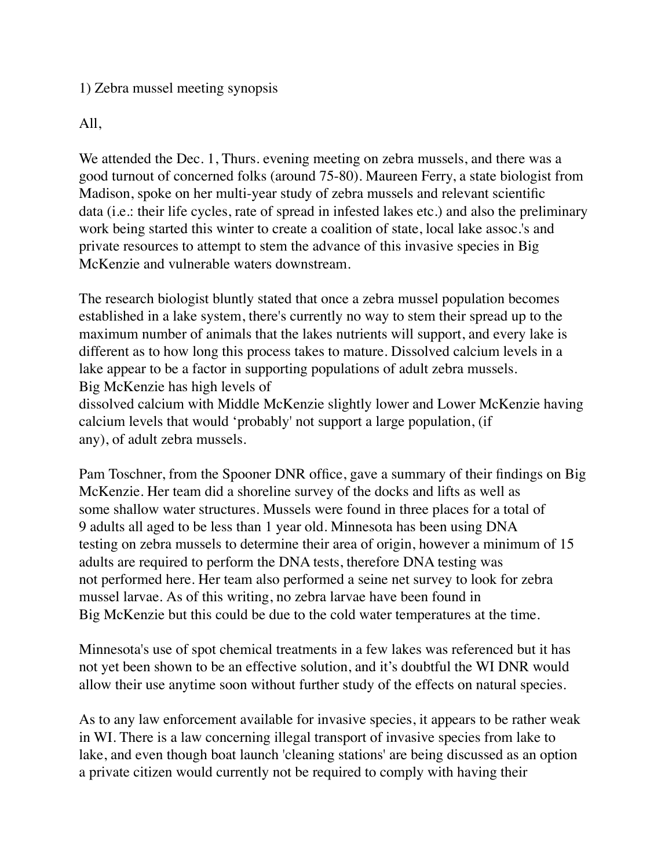## 1) Zebra mussel meeting synopsis

## All,

We attended the Dec. 1, Thurs. evening meeting on zebra mussels, and there was a good turnout of concerned folks (around 75-80). Maureen Ferry, a state biologist from Madison, spoke on her multi-year study of zebra mussels and relevant scientific data (i.e.: their life cycles, rate of spread in infested lakes etc.) and also the preliminary work being started this winter to create a coalition of state, local lake assoc.'s and private resources to attempt to stem the advance of this invasive species in Big McKenzie and vulnerable waters downstream.

The research biologist bluntly stated that once a zebra mussel population becomes established in a lake system, there's currently no way to stem their spread up to the maximum number of animals that the lakes nutrients will support, and every lake is different as to how long this process takes to mature. Dissolved calcium levels in a lake appear to be a factor in supporting populations of adult zebra mussels. Big McKenzie has high levels of dissolved calcium with Middle McKenzie slightly lower and Lower McKenzie having calcium levels that would 'probably' not support a large population, (if any), of adult zebra mussels.

Pam Toschner, from the Spooner DNR office, gave a summary of their findings on Big McKenzie. Her team did a shoreline survey of the docks and lifts as well as some shallow water structures. Mussels were found in three places for a total of 9 adults all aged to be less than 1 year old. Minnesota has been using DNA testing on zebra mussels to determine their area of origin, however a minimum of 15 adults are required to perform the DNA tests, therefore DNA testing was not performed here. Her team also performed a seine net survey to look for zebra mussel larvae. As of this writing, no zebra larvae have been found in Big McKenzie but this could be due to the cold water temperatures at the time.

Minnesota's use of spot chemical treatments in a few lakes was referenced but it has not yet been shown to be an effective solution, and it's doubtful the WI DNR would allow their use anytime soon without further study of the effects on natural species.

As to any law enforcement available for invasive species, it appears to be rather weak in WI. There is a law concerning illegal transport of invasive species from lake to lake, and even though boat launch 'cleaning stations' are being discussed as an option a private citizen would currently not be required to comply with having their